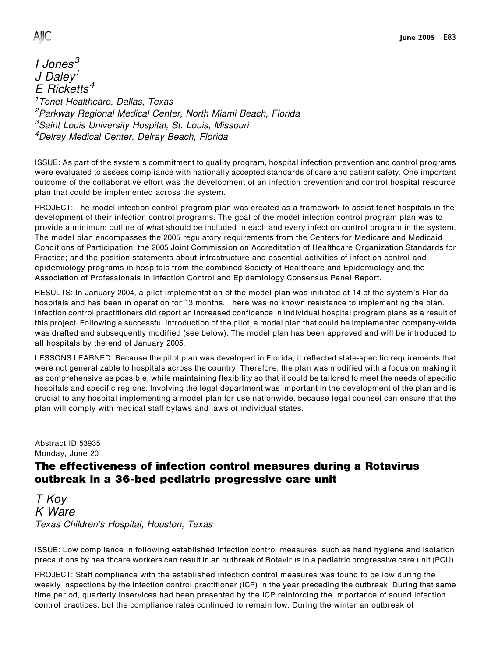**AllC** 

I Jones<sup>3</sup> J Daley<sup>1</sup>  $E$  Ricketts<sup>4</sup> 1 Tenet Healthcare, Dallas, Texas <sup>2</sup>Parkway Regional Medical Center, North Miami Beach, Florida <sup>3</sup>Saint Louis University Hospital, St. Louis, Missouri 4 Delray Medical Center, Delray Beach, Florida

ISSUE: As part of the system's commitment to quality program, hospital infection prevention and control programs were evaluated to assess compliance with nationally accepted standards of care and patient safety. One important outcome of the collaborative effort was the development of an infection prevention and control hospital resource plan that could be implemented across the system.

PROJECT: The model infection control program plan was created as a framework to assist tenet hospitals in the development of their infection control programs. The goal of the model infection control program plan was to provide a minimum outline of what should be included in each and every infection control program in the system. The model plan encompasses the 2005 regulatory requirements from the Centers for Medicare and Medicaid Conditions of Participation; the 2005 Joint Commission on Accreditation of Healthcare Organization Standards for Practice; and the position statements about infrastructure and essential activities of infection control and epidemiology programs in hospitals from the combined Society of Healthcare and Epidemiology and the Association of Professionals in Infection Control and Epidemiology Consensus Panel Report.

RESULTS: In January 2004, a pilot implementation of the model plan was initiated at 14 of the system's Florida hospitals and has been in operation for 13 months. There was no known resistance to implementing the plan. Infection control practitioners did report an increased confidence in individual hospital program plans as a result of this project. Following a successful introduction of the pilot, a model plan that could be implemented company-wide was drafted and subsequently modified (see below). The model plan has been approved and will be introduced to all hospitals by the end of January 2005.

LESSONS LEARNED: Because the pilot plan was developed in Florida, it reflected state-specific requirements that were not generalizable to hospitals across the country. Therefore, the plan was modified with a focus on making it as comprehensive as possible, while maintaining flexibility so that it could be tailored to meet the needs of specific hospitals and specific regions. Involving the legal department was important in the development of the plan and is crucial to any hospital implementing a model plan for use nationwide, because legal counsel can ensure that the plan will comply with medical staff bylaws and laws of individual states.

Abstract ID 53935 Monday, June 20

## The effectiveness of infection control measures during a Rotavirus outbreak in a 36-bed pediatric progressive care unit

T Koy K Ware Texas Children's Hospital, Houston, Texas

ISSUE: Low compliance in following established infection control measures; such as hand hygiene and isolation precautions by healthcare workers can result in an outbreak of Rotavirus in a pediatric progressive care unit (PCU).

PROJECT: Staff compliance with the established infection control measures was found to be low during the weekly inspections by the infection control practitioner (ICP) in the year preceding the outbreak. During that same time period, quarterly inservices had been presented by the ICP reinforcing the importance of sound infection control practices, but the compliance rates continued to remain low. During the winter an outbreak of